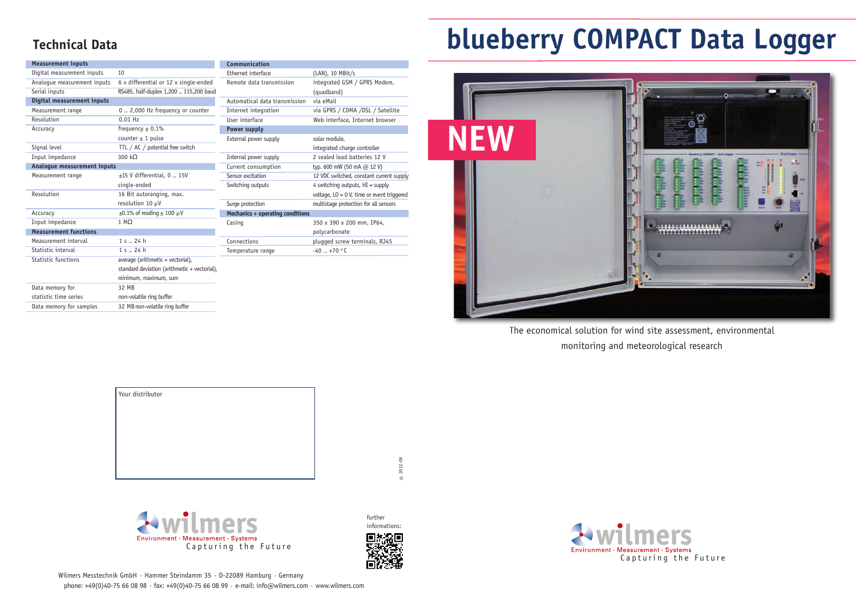The economical solution for wind site assessment, environmental monitoring and meteorological research

## **blueberry COMPACT Data Logger**





## **Technical Data**

Wilmers Messtechnik GmbH · Hammer Steindamm 35 · D-22089 Hamburg · Germany phone: +49(0)40-75 66 08 98 · fax: +49(0)40-75 66 08 99 · e-mail: info@wilmers.com · www.wilmers.com

| <b>Measurement inputs</b>    |                                              | Communication                    |                                              |  |
|------------------------------|----------------------------------------------|----------------------------------|----------------------------------------------|--|
| Digital measurement inputs   | 10                                           | Ethernet interface               | (LAN), 10 MBit/s                             |  |
| Analogue measurement inputs  | 6 x differential or 12 x single-ended        | Remote data transmission         | integrated GSM / GPRS Modem,                 |  |
| Serial inputs                | RS485, half-duplex 1,200  115,200 baud       |                                  | (quadband)                                   |  |
| Digital measurement inputs   |                                              | Automatical data transmission    | via eMail                                    |  |
| Measurement range            | 0  2,000 Hz frequency or counter             | Internet integration             | via GPRS / CDMA /DSL / Satellite             |  |
| Resolution                   | $0.01$ Hz                                    | User interface                   | Web interface, Internet browser              |  |
| Accuracy                     | frequency $\pm$ 0.1%                         | <b>Power supply</b>              |                                              |  |
|                              | counter $\pm$ 1 pulse                        | External power supply            | solar module.                                |  |
| Signal level                 | TTL / AC / potential free switch             |                                  | integrated charge controller                 |  |
| Input impedance              | 300 kΩ                                       | Internal power supply            | 2 sealed lead batteries 12 V                 |  |
| Analogue measurement inputs  |                                              | Current consumption              | typ. 600 mW (50 mA @ 12 V)                   |  |
| Measurement range            | $±15$ V differential, 0  15V                 | Sensor excitation                | 12 VDC switched, constant current supply     |  |
|                              | single-ended                                 | Switching outputs                | 4 switching outputs, $HI =$ supply           |  |
| Resolution                   | 16 Bit autoranging, max.                     |                                  | voltage, $LO = 0$ V, time or event triggered |  |
|                              | resolution 10 µV                             | Surge protection                 | multistage protection for all sensors        |  |
| Accuracy                     | $\pm 0.1\%$ of reading $\pm 100 \mu V$       | Mechanics + operating conditions |                                              |  |
| Input impedance              | $1 M\Omega$                                  | Casing                           | 350 x 390 x 200 mm, IP64,                    |  |
| <b>Measurement functions</b> |                                              |                                  | polycarbonate                                |  |
| Measurement interval         | 1 s. . 24 h                                  | Connections                      | plugged screw terminals, RJ45                |  |
| Statistic interval           | 1 s . 24 h                                   | Temperature range                | $-40$ +70 °C                                 |  |
| <b>Statistic functions</b>   | average (arithmetic + vectorial),            |                                  |                                              |  |
|                              | standard deviation (arithmetic + vectorial), |                                  |                                              |  |
|                              | minimum, maximum, sum                        |                                  |                                              |  |
| Data memory for              | 32 MB                                        |                                  |                                              |  |
| statistic time series        | non-volatile ring buffer                     |                                  |                                              |  |
| Data memory for samples      | 32 MB non-volatile ring buffer               |                                  |                                              |  |



| Your distributor |  |  |
|------------------|--|--|
|                  |  |  |
|                  |  |  |
|                  |  |  |
|                  |  |  |
|                  |  |  |

 $@ 2012 -09$ 

further